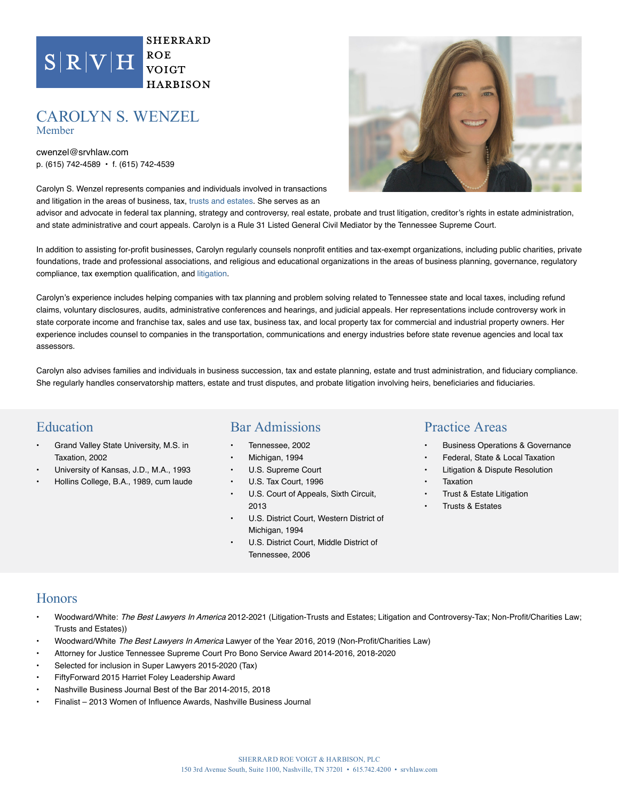

**SHERRARD**  $ROE$ **VOIGT HARBISON** 

#### CAROLYN S. WENZEL Member

cwenzel@ p. (615) 742-4589 email will not create an attorney-client relationship and will not Carolyn S. Wenzel desensitive or confidential information via this email service. and litigation in the lawyer or law firm to whom you are writing may not choose to advisor and advocate in federal tax planning, strategy and controversy, real estate, probate and trust litigation, creditor's rights in estate administration, and state administrative and court appeals. Carolyn is a Rule 31 Listed General Civil Mediator by the Tennessee Supreme Court. In addition to assisting for profit businesses, Carolyn regular this website, conprofit entities and tax-exempt organizations, including public charities, private foundations, trade and professional associations, and religious and educational organizations in the areas of business planning, governance, regulatory compliance, tax released, sold or rented to any individuals or entities outside of Carolyn's experience includes helping companies with tax planning and problem solving related to Tennessee state and local taxes, including refund claims, voluntary disclosures, audits, administrative conferences and hearings, and judicial appeals. Her representations include controversy work in state corporate income and franchise tax, sales and use tax, business tax, and local property tax for commercial and industrial property owners. Her Disclaimer If you send a lawyer or law firm email through this service, your necessarily be treated as privileged or confidential. You should not accept you as a client. Privacy Policy: including your name, address or email address, will not be SRVH. Our site may contain links to other sites whose information practices may be different than ours. SRVH is not responsible for the content of external sites or their privacy policies.

Accept | Cancel



experience includes counsel to companies in the transportation, communications and energy industries before state revenue agencies and local tax

Carolyn also advises families and individuals in business succession, tax and estate planning, estate and trust administration, and fiduciary compliance. She regularly handles conservatorship matters, estate and trust disputes, and probate litigation involving heirs, beneficiaries and fiduciaries.

### Education

assessors.

- Grand Valley State University, M.S. in Taxation, 2002
- University of Kansas, J.D., M.A., 1993
- Hollins College, B.A., 1989, cum laude

### Bar Admissions

- Tennessee, 2002
- Michigan, 1994
- U.S. Supreme Court
- U.S. Tax Court, 1996
- U.S. Court of Appeals, Sixth Circuit, 2013
- U.S. District Court, Western District of Michigan, 1994
- U.S. District Court, Middle District of Tennessee, 2006

### Practice Areas

- Business Operations & Governance
- Federal, State & Local Taxation
- Litigation & Dispute Resolution
- **Taxation**
- Trust & Estate Litigation
- Trusts & Estates

### **Honors**

- Woodward/White: The Best Lawyers In America 2012-2021 (Litigation-Trusts and Estates; Litigation and Controversy-Tax; Non-Profit/Charities Law; Trusts and Estates))
- Woodward/White The Best Lawyers In America Lawyer of the Year 2016, 2019 (Non-Profit/Charities Law)
- Attorney for Justice Tennessee Supreme Court Pro Bono Service Award 2014-2016, 2018-2020
- Selected for inclusion in Super Lawyers 2015-2020 (Tax)
- FiftyForward 2015 Harriet Foley Leadership Award
- Nashville Business Journal Best of the Bar 2014-2015, 2018
- Finalist 2013 Women of Influence Awards, Nashville Business Journal